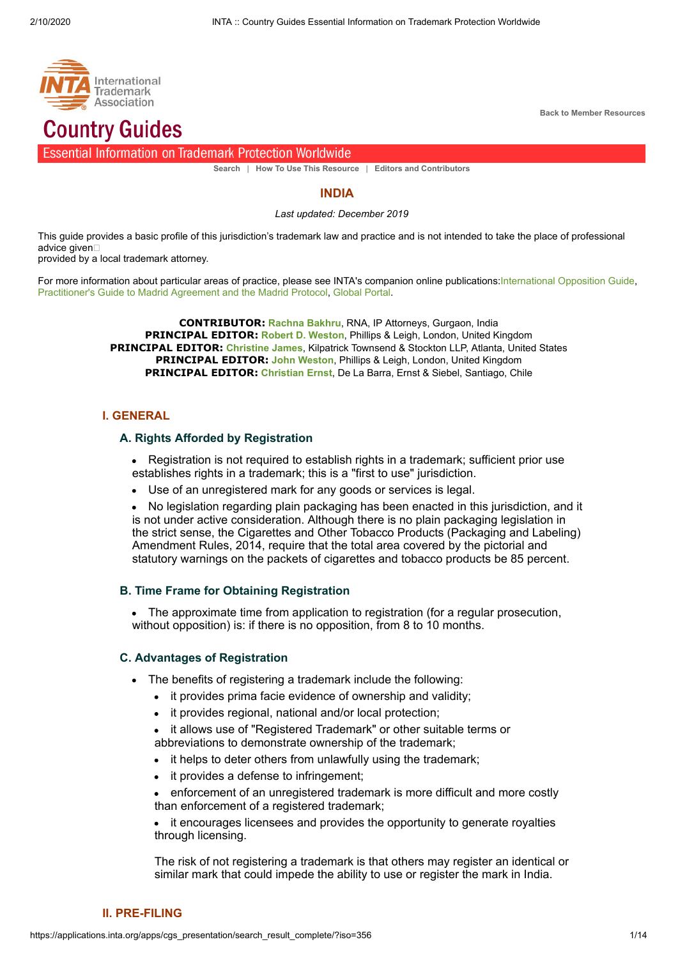

**[Back to Member Resources](http://www.inta.org/globalTrademark/pages/Member-Resources.aspx)**

# **Country Guides**

#### **Essential Information on Trademark Protection Worldwide**

**[Search](https://applications.inta.org/apps/cgs_presentation/search)** | **[How To Use This Resource](https://applications.inta.org/apps/cgs_presentation/howto)** | **[Editors and Contributors](https://applications.inta.org/apps/cgs_presentation/credit)**

#### **INDIA**

*Last updated: December 2019*

This guide provides a basic profile of this jurisdiction's trademark law and practice and is not intended to take the place of professional advice given□

provided by a local trademark attorney.

For more information about particular areas of practice, please see INTA's companion online publications:[International Opposition Guide](https://applications.inta.org/apps/iogs_presentation/full_report_results/?iso=356), [Practitioner's Guide to Madrid Agreement and the Madrid Protocol,](https://applications.inta.org/apps/madrids_presentation/full_report_results/?iso=356) [Global Portal](http://www.inta.org/GlobalPortal/Pages/Profile.aspx?country=India).

> **CONTRIBUTOR: [Rachna Bakhru](mailto:rbakhru@rnaip.com)**, RNA, IP Attorneys, Gurgaon, India **PRINCIPAL EDITOR: [Robert D. Weston](http://www.pandl.com/)**, Phillips & Leigh, London, United Kingdom **PRINCIPAL EDITOR: [Christine James](http://www.kilpatricktownsend.com/)**, Kilpatrick Townsend & Stockton LLP, Atlanta, United States **PRINCIPAL EDITOR: [John Weston](http://www.pandl.com/)**, Phillips & Leigh, London, United Kingdom **PRINCIPAL EDITOR: [Christian Ernst](http://www.des.cl/)**, De La Barra, Ernst & Siebel, Santiago, Chile

## **I. GENERAL**

## **A. Rights Afforded by Registration**

Registration is not required to establish rights in a trademark; sufficient prior use establishes rights in a trademark; this is a "first to use" jurisdiction.

Use of an unregistered mark for any goods or services is legal.

No legislation regarding plain packaging has been enacted in this jurisdiction, and it is not under active consideration. Although there is no plain packaging legislation in the strict sense, the Cigarettes and Other Tobacco Products (Packaging and Labeling) Amendment Rules, 2014, require that the total area covered by the pictorial and statutory warnings on the packets of cigarettes and tobacco products be 85 percent.

## **B. Time Frame for Obtaining Registration**

The approximate time from application to registration (for a regular prosecution, without opposition) is: if there is no opposition, from 8 to 10 months.

#### **C. Advantages of Registration**

- The benefits of registering a trademark include the following:
	- it provides prima facie evidence of ownership and validity;
	- it provides regional, national and/or local protection;
	- it allows use of "Registered Trademark" or other suitable terms or abbreviations to demonstrate ownership of the trademark;
	- it helps to deter others from unlawfully using the trademark;
	- it provides a defense to infringement;
	- enforcement of an unregistered trademark is more difficult and more costly than enforcement of a registered trademark;

it encourages licensees and provides the opportunity to generate royalties through licensing.

The risk of not registering a trademark is that others may register an identical or similar mark that could impede the ability to use or register the mark in India.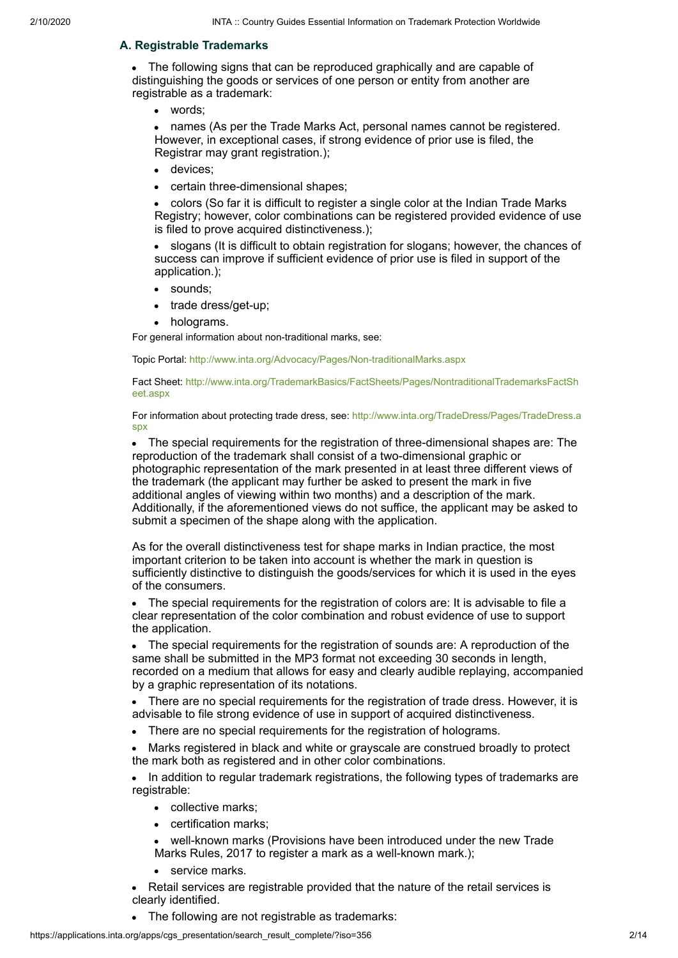## **A. Registrable Trademarks**

The following signs that can be reproduced graphically and are capable of distinguishing the goods or services of one person or entity from another are registrable as a trademark:

words;

• names (As per the Trade Marks Act, personal names cannot be registered. However, in exceptional cases, if strong evidence of prior use is filed, the Registrar may grant registration.);

- devices;  $\bullet$
- certain three-dimensional shapes;

colors (So far it is difficult to register a single color at the Indian Trade Marks Registry; however, color combinations can be registered provided evidence of use is filed to prove acquired distinctiveness.);

slogans (It is difficult to obtain registration for slogans; however, the chances of success can improve if sufficient evidence of prior use is filed in support of the application.);

- sounds;  $\bullet$
- trade dress/get-up;
- holograms.

For general information about non-traditional marks, see:

Topic Portal:<http://www.inta.org/Advocacy/Pages/Non-traditionalMarks.aspx>

[Fact Sheet: http://www.inta.org/TrademarkBasics/FactSheets/Pages/NontraditionalTrademarksFactSh](http://www.inta.org/TrademarkBasics/FactSheets/Pages/NontraditionalTrademarksFactSheet.aspx) eet.aspx

[For information about protecting trade dress, see: http://www.inta.org/TradeDress/Pages/TradeDress.a](http://www.inta.org/TradeDress/Pages/TradeDress.aspx) spx

The special requirements for the registration of three-dimensional shapes are: The reproduction of the trademark shall consist of a two-dimensional graphic or photographic representation of the mark presented in at least three different views of the trademark (the applicant may further be asked to present the mark in five additional angles of viewing within two months) and a description of the mark. Additionally, if the aforementioned views do not suffice, the applicant may be asked to submit a specimen of the shape along with the application.

As for the overall distinctiveness test for shape marks in Indian practice, the most important criterion to be taken into account is whether the mark in question is sufficiently distinctive to distinguish the goods/services for which it is used in the eyes of the consumers.

The special requirements for the registration of colors are: It is advisable to file a clear representation of the color combination and robust evidence of use to support the application.

The special requirements for the registration of sounds are: A reproduction of the same shall be submitted in the MP3 format not exceeding 30 seconds in length, recorded on a medium that allows for easy and clearly audible replaying, accompanied by a graphic representation of its notations.

There are no special requirements for the registration of trade dress. However, it is advisable to file strong evidence of use in support of acquired distinctiveness.

There are no special requirements for the registration of holograms.

Marks registered in black and white or grayscale are construed broadly to protect the mark both as registered and in other color combinations.

In addition to regular trademark registrations, the following types of trademarks are registrable:

- collective marks;
- certification marks:
- well-known marks (Provisions have been introduced under the new Trade Marks Rules, 2017 to register a mark as a well-known mark.):
- service marks.

Retail services are registrable provided that the nature of the retail services is clearly identified.

The following are not registrable as trademarks: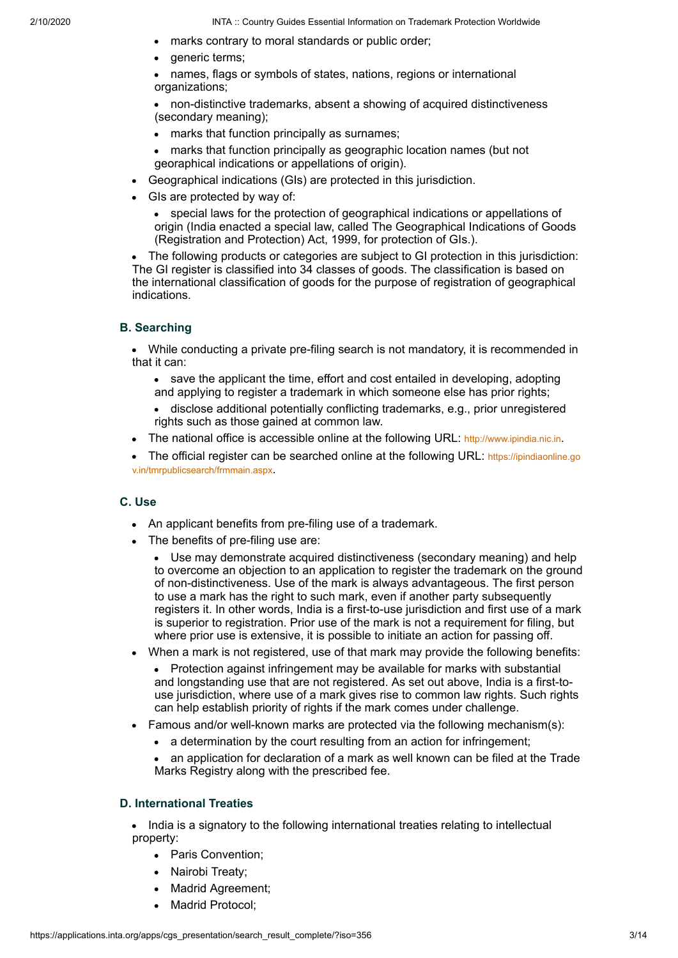- marks contrary to moral standards or public order;
- generic terms;

names, flags or symbols of states, nations, regions or international organizations;

non-distinctive trademarks, absent a showing of acquired distinctiveness (secondary meaning);

- marks that function principally as surnames;
- marks that function principally as geographic location names (but not georaphical indications or appellations of origin).
- Geographical indications (GIs) are protected in this jurisdiction.
- GIs are protected by way of:

special laws for the protection of geographical indications or appellations of origin (India enacted a special law, called The Geographical Indications of Goods (Registration and Protection) Act, 1999, for protection of GIs.).

The following products or categories are subject to GI protection in this jurisdiction: The GI register is classified into 34 classes of goods. The classification is based on the international classification of goods for the purpose of registration of geographical indications.

## **B. Searching**

While conducting a private pre-filing search is not mandatory, it is recommended in that it can:

- save the applicant the time, effort and cost entailed in developing, adopting and applying to register a trademark in which someone else has prior rights;
- disclose additional potentially conflicting trademarks, e.g., prior unregistered  $\bullet$ rights such as those gained at common law.
- The national office is accessible online at the following URL: [http://www.ipindia.nic.in](http://www.ipindia.nic.in/).

[The official register can be searched online at the following URL:](https://ipindiaonline.gov.in/tmrpublicsearch/frmmain.aspx) https://ipindiaonline.go v.in/tmrpublicsearch/frmmain.aspx.

## **C. Use**

- An applicant benefits from pre-filing use of a trademark.
- The benefits of pre-filing use are:

 $\bullet$ Use may demonstrate acquired distinctiveness (secondary meaning) and help to overcome an objection to an application to register the trademark on the ground of non-distinctiveness. Use of the mark is always advantageous. The first person to use a mark has the right to such mark, even if another party subsequently registers it. In other words, India is a first-to-use jurisdiction and first use of a mark is superior to registration. Prior use of the mark is not a requirement for filing, but where prior use is extensive, it is possible to initiate an action for passing off.

- When a mark is not registered, use of that mark may provide the following benefits:
	- Protection against infringement may be available for marks with substantial and longstanding use that are not registered. As set out above, India is a first-touse jurisdiction, where use of a mark gives rise to common law rights. Such rights can help establish priority of rights if the mark comes under challenge.
- Famous and/or well-known marks are protected via the following mechanism(s):
	- a determination by the court resulting from an action for infringement;

an application for declaration of a mark as well known can be filed at the Trade Marks Registry along with the prescribed fee.

## **D. International Treaties**

• India is a signatory to the following international treaties relating to intellectual property:

- Paris Convention;
- Nairobi Treaty;
- Madrid Agreement;
- Madrid Protocol;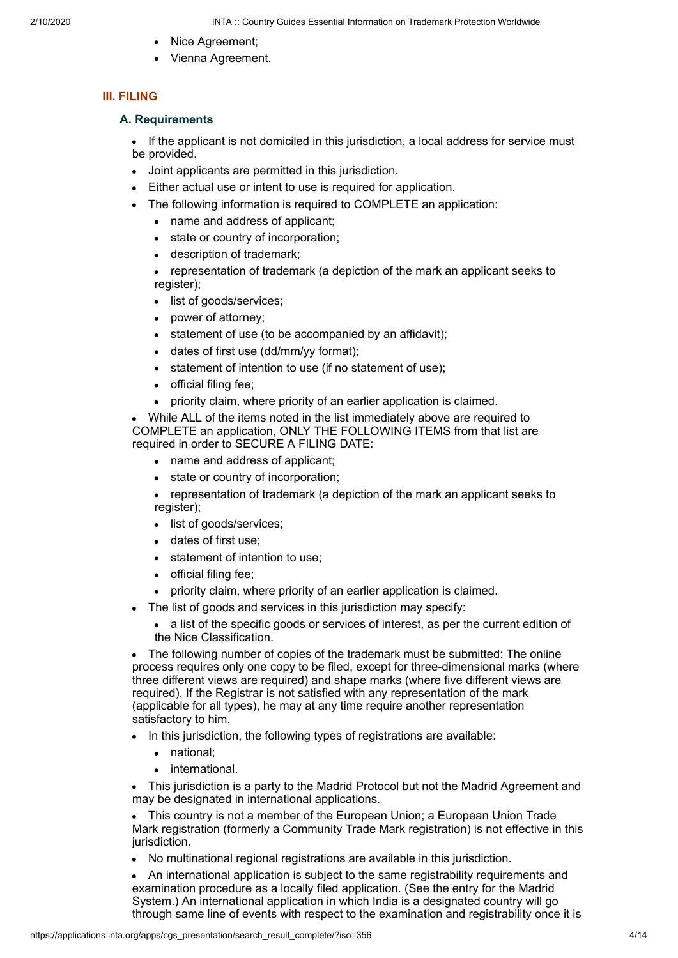- Nice Agreement;
- Vienna Agreement.

## **III. FILING**

#### **A. Requirements**

If the applicant is not domiciled in this jurisdiction, a local address for service must be provided.

- Joint applicants are permitted in this jurisdiction.
- Either actual use or intent to use is required for application.
- The following information is required to COMPLETE an application:
	- name and address of applicant;  $\bullet$
	- state or country of incorporation;  $\bullet$
	- description of trademark;

• representation of trademark (a depiction of the mark an applicant seeks to register);

- list of goods/services;
- power of attorney;
- statement of use (to be accompanied by an affidavit);
- dates of first use (dd/mm/yy format);
- statement of intention to use (if no statement of use);  $\bullet$
- official filing fee;  $\bullet$
- priority claim, where priority of an earlier application is claimed.

While ALL of the items noted in the list immediately above are required to COMPLETE an application, ONLY THE FOLLOWING ITEMS from that list are required in order to SECURE A FILING DATE:

- name and address of applicant;
- state or country of incorporation;
- representation of trademark (a depiction of the mark an applicant seeks to register);
- list of goods/services;
- dates of first use;
- statement of intention to use;
- official filing fee;
- priority claim, where priority of an earlier application is claimed.
- The list of goods and services in this jurisdiction may specify:
	- a list of the specific goods or services of interest, as per the current edition of the Nice Classification.

The following number of copies of the trademark must be submitted: The online process requires only one copy to be filed, except for three-dimensional marks (where three different views are required) and shape marks (where five different views are required). If the Registrar is not satisfied with any representation of the mark (applicable for all types), he may at any time require another representation satisfactory to him.

- In this jurisdiction, the following types of registrations are available:
	- national;
	- international.

This jurisdiction is a party to the Madrid Protocol but not the Madrid Agreement and may be designated in international applications.

This country is not a member of the European Union; a European Union Trade Mark registration (formerly a Community Trade Mark registration) is not effective in this jurisdiction.

No multinational regional registrations are available in this jurisdiction.

An international application is subject to the same registrability requirements and examination procedure as a locally filed application. (See the entry for the Madrid System.) An international application in which India is a designated country will go through same line of events with respect to the examination and registrability once it is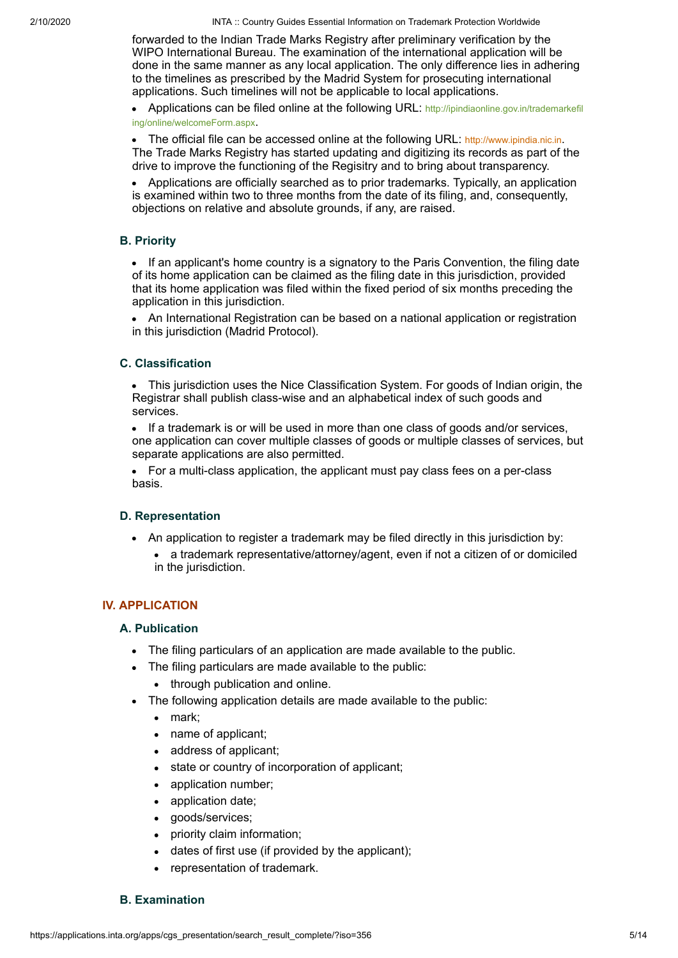2/10/2020 INTA :: Country Guides Essential Information on Trademark Protection Worldwide

forwarded to the Indian Trade Marks Registry after preliminary verification by the WIPO International Bureau. The examination of the international application will be done in the same manner as any local application. The only difference lies in adhering to the timelines as prescribed by the Madrid System for prosecuting international applications. Such timelines will not be applicable to local applications.

[Applications can be filed online at the following URL:](http://ipindiaonline.gov.in/trademarkefiling/online/welcomeForm.aspx) http://ipindiaonline.gov.in/trademarkefil ing/online/welcomeForm.aspx.

The official file can be accessed online at the following URL: [http://www.ipindia.nic.in](http://www.ipindia.nic.in/). The Trade Marks Registry has started updating and digitizing its records as part of the drive to improve the functioning of the Regisitry and to bring about transparency.

• Applications are officially searched as to prior trademarks. Typically, an application is examined within two to three months from the date of its filing, and, consequently, objections on relative and absolute grounds, if any, are raised.

## **B. Priority**

• If an applicant's home country is a signatory to the Paris Convention, the filing date of its home application can be claimed as the filing date in this jurisdiction, provided that its home application was filed within the fixed period of six months preceding the application in this jurisdiction.

An International Registration can be based on a national application or registration in this jurisdiction (Madrid Protocol).

# **C. Classification**

• This jurisdiction uses the Nice Classification System. For goods of Indian origin, the Registrar shall publish class-wise and an alphabetical index of such goods and services.

If a trademark is or will be used in more than one class of goods and/or services,  $\bullet$ one application can cover multiple classes of goods or multiple classes of services, but separate applications are also permitted.

For a multi-class application, the applicant must pay class fees on a per-class basis.

## **D. Representation**

- An application to register a trademark may be filed directly in this jurisdiction by:
	- a trademark representative/attorney/agent, even if not a citizen of or domiciled in the jurisdiction.

# **IV. APPLICATION**

## **A. Publication**

- The filing particulars of an application are made available to the public.
- The filing particulars are made available to the public:
	- through publication and online.
- The following application details are made available to the public:
	- mark:
	- name of applicant;
	- address of applicant;
	- state or country of incorporation of applicant;
	- application number;
	- application date;
	- goods/services;
	- priority claim information;
	- dates of first use (if provided by the applicant);
	- representation of trademark.

## **B. Examination**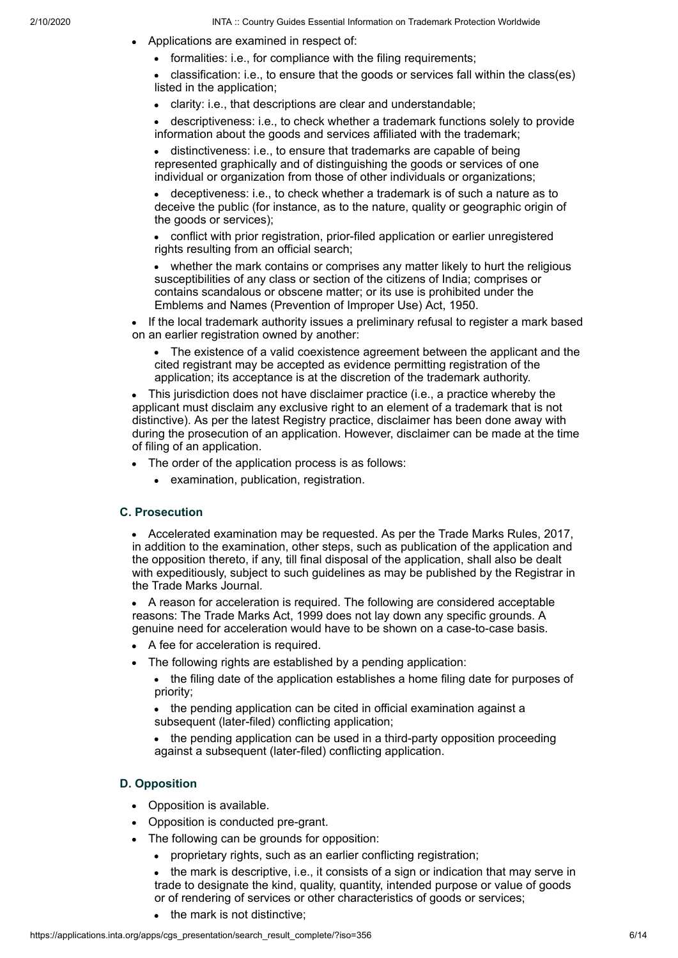- Applications are examined in respect of:
	- formalities: i.e., for compliance with the filing requirements;

• classification: i.e., to ensure that the goods or services fall within the class(es) listed in the application;

clarity: i.e., that descriptions are clear and understandable;  $\bullet$ 

descriptiveness: i.e., to check whether a trademark functions solely to provide information about the goods and services affiliated with the trademark;

distinctiveness: i.e., to ensure that trademarks are capable of being represented graphically and of distinguishing the goods or services of one individual or organization from those of other individuals or organizations;

deceptiveness: i.e., to check whether a trademark is of such a nature as to deceive the public (for instance, as to the nature, quality or geographic origin of the goods or services);

conflict with prior registration, prior-filed application or earlier unregistered rights resulting from an official search;

whether the mark contains or comprises any matter likely to hurt the religious susceptibilities of any class or section of the citizens of India; comprises or contains scandalous or obscene matter; or its use is prohibited under the Emblems and Names (Prevention of Improper Use) Act, 1950.

• If the local trademark authority issues a preliminary refusal to register a mark based on an earlier registration owned by another:

The existence of a valid coexistence agreement between the applicant and the cited registrant may be accepted as evidence permitting registration of the application; its acceptance is at the discretion of the trademark authority.

This jurisdiction does not have disclaimer practice (i.e., a practice whereby the applicant must disclaim any exclusive right to an element of a trademark that is not distinctive). As per the latest Registry practice, disclaimer has been done away with during the prosecution of an application. However, disclaimer can be made at the time of filing of an application.

- The order of the application process is as follows:
	- examination, publication, registration.

## **C. Prosecution**

Accelerated examination may be requested. As per the Trade Marks Rules, 2017, in addition to the examination, other steps, such as publication of the application and the opposition thereto, if any, till final disposal of the application, shall also be dealt with expeditiously, subject to such guidelines as may be published by the Registrar in the Trade Marks Journal.

A reason for acceleration is required. The following are considered acceptable reasons: The Trade Marks Act, 1999 does not lay down any specific grounds. A genuine need for acceleration would have to be shown on a case-to-case basis.

- A fee for acceleration is required.
- The following rights are established by a pending application:

• the filing date of the application establishes a home filing date for purposes of priority;

the pending application can be cited in official examination against a  $\bullet$ subsequent (later-filed) conflicting application;

 $\bullet$ the pending application can be used in a third-party opposition proceeding against a subsequent (later-filed) conflicting application.

## **D. Opposition**

- Opposition is available.
- Opposition is conducted pre-grant.
- The following can be grounds for opposition:
	- proprietary rights, such as an earlier conflicting registration;

the mark is descriptive, i.e., it consists of a sign or indication that may serve in trade to designate the kind, quality, quantity, intended purpose or value of goods or of rendering of services or other characteristics of goods or services;

• the mark is not distinctive;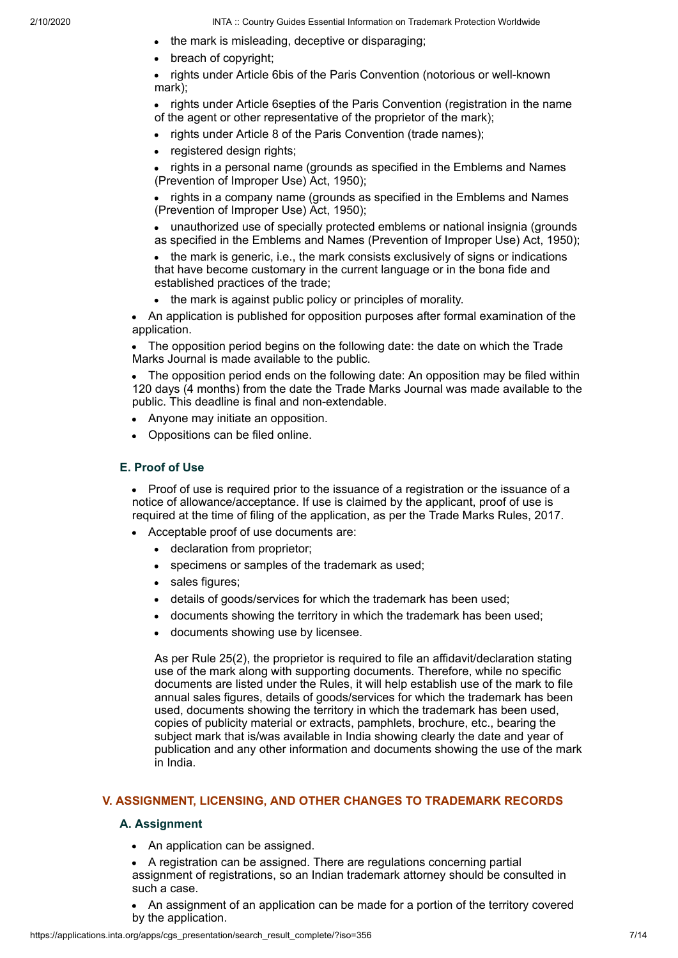- the mark is misleading, deceptive or disparaging;
- breach of copyright;

rights under Article 6bis of the Paris Convention (notorious or well-known mark);

rights under Article 6septies of the Paris Convention (registration in the name of the agent or other representative of the proprietor of the mark);

- rights under Article 8 of the Paris Convention (trade names);
- registered design rights;

rights in a personal name (grounds as specified in the Emblems and Names (Prevention of Improper Use) Act, 1950);

rights in a company name (grounds as specified in the Emblems and Names (Prevention of Improper Use) Act, 1950);

unauthorized use of specially protected emblems or national insignia (grounds as specified in the Emblems and Names (Prevention of Improper Use) Act, 1950);

the mark is generic, i.e., the mark consists exclusively of signs or indications that have become customary in the current language or in the bona fide and established practices of the trade;

• the mark is against public policy or principles of morality.

An application is published for opposition purposes after formal examination of the application.

The opposition period begins on the following date: the date on which the Trade Marks Journal is made available to the public.

The opposition period ends on the following date: An opposition may be filed within 120 days (4 months) from the date the Trade Marks Journal was made available to the public. This deadline is final and non-extendable.

- Anyone may initiate an opposition.
- Oppositions can be filed online.

## **E. Proof of Use**

Proof of use is required prior to the issuance of a registration or the issuance of a notice of allowance/acceptance. If use is claimed by the applicant, proof of use is required at the time of filing of the application, as per the Trade Marks Rules, 2017.

- Acceptable proof of use documents are:
	- declaration from proprietor;
	- specimens or samples of the trademark as used;
	- sales figures;  $\bullet$
	- details of goods/services for which the trademark has been used;
	- documents showing the territory in which the trademark has been used;
	- documents showing use by licensee.

As per Rule 25(2), the proprietor is required to file an affidavit/declaration stating use of the mark along with supporting documents. Therefore, while no specific documents are listed under the Rules, it will help establish use of the mark to file annual sales figures, details of goods/services for which the trademark has been used, documents showing the territory in which the trademark has been used, copies of publicity material or extracts, pamphlets, brochure, etc., bearing the subject mark that is/was available in India showing clearly the date and year of publication and any other information and documents showing the use of the mark in India.

#### **V. ASSIGNMENT, LICENSING, AND OTHER CHANGES TO TRADEMARK RECORDS**

#### **A. Assignment**

• An application can be assigned.

A registration can be assigned. There are regulations concerning partial assignment of registrations, so an Indian trademark attorney should be consulted in such a case.

An assignment of an application can be made for a portion of the territory covered by the application.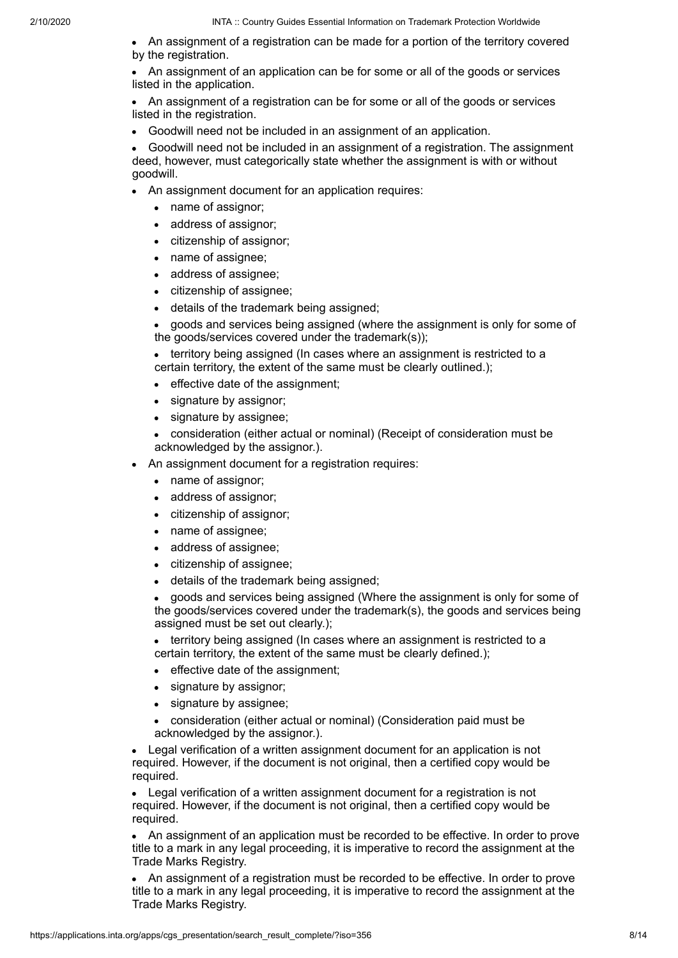• An assignment of a registration can be made for a portion of the territory covered by the registration.

An assignment of an application can be for some or all of the goods or services listed in the application.

An assignment of a registration can be for some or all of the goods or services listed in the registration.

Goodwill need not be included in an assignment of an application.

Goodwill need not be included in an assignment of a registration. The assignment deed, however, must categorically state whether the assignment is with or without goodwill.

- An assignment document for an application requires:
	- name of assignor:
	- address of assignor;
	- citizenship of assignor;
	- name of assignee;
	- address of assignee;
	- citizenship of assignee;
	- details of the trademark being assigned;
	- goods and services being assigned (where the assignment is only for some of the goods/services covered under the trademark(s));

territory being assigned (In cases where an assignment is restricted to a certain territory, the extent of the same must be clearly outlined.);

- effective date of the assignment;  $\bullet$
- signature by assignor;
- signature by assignee;
- consideration (either actual or nominal) (Receipt of consideration must be acknowledged by the assignor.).
- An assignment document for a registration requires:
	- name of assignor;  $\bullet$
	- address of assignor;
	- citizenship of assignor;
	- name of assignee;
	- address of assignee;
	- citizenship of assignee;
	- details of the trademark being assigned;

goods and services being assigned (Where the assignment is only for some of the goods/services covered under the trademark(s), the goods and services being assigned must be set out clearly.);

• territory being assigned (In cases where an assignment is restricted to a certain territory, the extent of the same must be clearly defined.);

- effective date of the assignment;
- signature by assignor;
- signature by assignee;  $\bullet$

consideration (either actual or nominal) (Consideration paid must be acknowledged by the assignor.).

Legal verification of a written assignment document for an application is not required. However, if the document is not original, then a certified copy would be required.

Legal verification of a written assignment document for a registration is not required. However, if the document is not original, then a certified copy would be required.

An assignment of an application must be recorded to be effective. In order to prove title to a mark in any legal proceeding, it is imperative to record the assignment at the Trade Marks Registry.

An assignment of a registration must be recorded to be effective. In order to prove title to a mark in any legal proceeding, it is imperative to record the assignment at the Trade Marks Registry.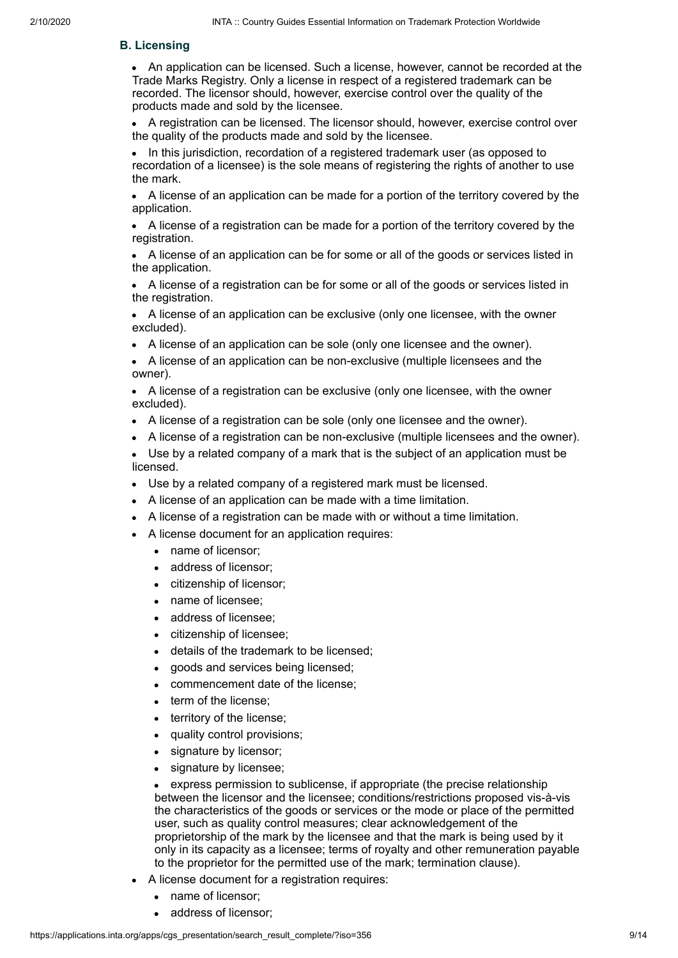## **B. Licensing**

An application can be licensed. Such a license, however, cannot be recorded at the Trade Marks Registry. Only a license in respect of a registered trademark can be recorded. The licensor should, however, exercise control over the quality of the products made and sold by the licensee.

A registration can be licensed. The licensor should, however, exercise control over the quality of the products made and sold by the licensee.

In this jurisdiction, recordation of a registered trademark user (as opposed to recordation of a licensee) is the sole means of registering the rights of another to use the mark.

A license of an application can be made for a portion of the territory covered by the application.

A license of a registration can be made for a portion of the territory covered by the registration.

A license of an application can be for some or all of the goods or services listed in the application.

A license of a registration can be for some or all of the goods or services listed in the registration.

A license of an application can be exclusive (only one licensee, with the owner excluded).

A license of an application can be sole (only one licensee and the owner).

A license of an application can be non-exclusive (multiple licensees and the owner).

A license of a registration can be exclusive (only one licensee, with the owner excluded).

- A license of a registration can be sole (only one licensee and the owner).
- A license of a registration can be non-exclusive (multiple licensees and the owner).
- Use by a related company of a mark that is the subject of an application must be licensed.
- Use by a related company of a registered mark must be licensed.
- A license of an application can be made with a time limitation.
- A license of a registration can be made with or without a time limitation.
- A license document for an application requires:
	- name of licensor;
	- address of licensor;
	- citizenship of licensor;
	- name of licensee;
	- address of licensee;
	- citizenship of licensee;
	- details of the trademark to be licensed;
	- goods and services being licensed;
	- commencement date of the license;
	- term of the license;
	- territory of the license;
	- quality control provisions;
	- signature by licensor;
	- signature by licensee;

express permission to sublicense, if appropriate (the precise relationship between the licensor and the licensee; conditions/restrictions proposed vis-à-vis the characteristics of the goods or services or the mode or place of the permitted user, such as quality control measures; clear acknowledgement of the proprietorship of the mark by the licensee and that the mark is being used by it only in its capacity as a licensee; terms of royalty and other remuneration payable to the proprietor for the permitted use of the mark; termination clause).

- A license document for a registration requires:
	- name of licensor;
	- address of licensor;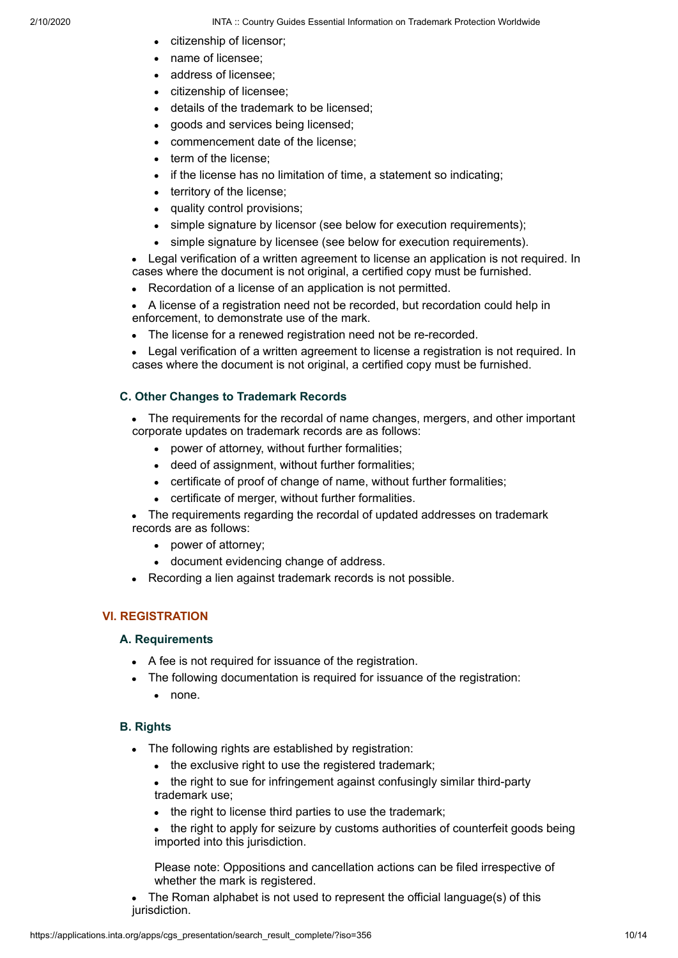- citizenship of licensor;
- name of licensee;
- address of licensee;
- citizenship of licensee;
- details of the trademark to be licensed;
- goods and services being licensed;
- commencement date of the license;
- term of the license:
- if the license has no limitation of time, a statement so indicating;
- territory of the license;
- quality control provisions;  $\bullet$
- simple signature by licensor (see below for execution requirements);  $\bullet$
- simple signature by licensee (see below for execution requirements).

Legal verification of a written agreement to license an application is not required. In cases where the document is not original, a certified copy must be furnished.

- Recordation of a license of an application is not permitted.
- A license of a registration need not be recorded, but recordation could help in enforcement, to demonstrate use of the mark.
- The license for a renewed registration need not be re-recorded.
- Legal verification of a written agreement to license a registration is not required. In cases where the document is not original, a certified copy must be furnished.

## **C. Other Changes to Trademark Records**

- The requirements for the recordal of name changes, mergers, and other important corporate updates on trademark records are as follows:
	- power of attorney, without further formalities;
	- deed of assignment, without further formalities;
	- certificate of proof of change of name, without further formalities;
	- certificate of merger, without further formalities.
- The requirements regarding the recordal of updated addresses on trademark records are as follows:
	- power of attorney:
	- document evidencing change of address.
- Recording a lien against trademark records is not possible.

## **VI. REGISTRATION**

## **A. Requirements**

- A fee is not required for issuance of the registration.
- The following documentation is required for issuance of the registration:
	- none.

## **B. Rights**

- The following rights are established by registration:
	- the exclusive right to use the registered trademark;
	- the right to sue for infringement against confusingly similar third-party trademark use;
	- the right to license third parties to use the trademark;  $\bullet$
	- the right to apply for seizure by customs authorities of counterfeit goods being imported into this jurisdiction.

Please note: Oppositions and cancellation actions can be filed irrespective of whether the mark is registered.

The Roman alphabet is not used to represent the official language(s) of this jurisdiction.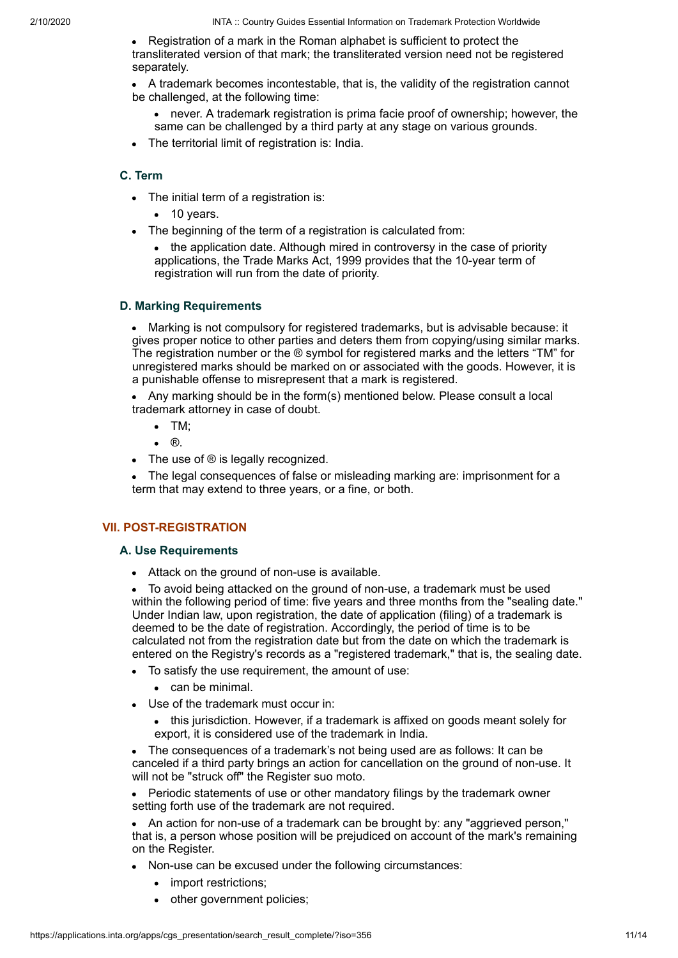Registration of a mark in the Roman alphabet is sufficient to protect the  $\bullet$ transliterated version of that mark; the transliterated version need not be registered separately.

A trademark becomes incontestable, that is, the validity of the registration cannot be challenged, at the following time:

- never. A trademark registration is prima facie proof of ownership; however, the same can be challenged by a third party at any stage on various grounds.
- The territorial limit of registration is: India.

## **C. Term**

- The initial term of a registration is:
	- $\bullet$  10 years.
- The beginning of the term of a registration is calculated from:

• the application date. Although mired in controversy in the case of priority applications, the Trade Marks Act, 1999 provides that the 10-year term of registration will run from the date of priority.

#### **D. Marking Requirements**

Marking is not compulsory for registered trademarks, but is advisable because: it gives proper notice to other parties and deters them from copying/using similar marks. The registration number or the ® symbol for registered marks and the letters "TM" for unregistered marks should be marked on or associated with the goods. However, it is a punishable offense to misrepresent that a mark is registered.

Any marking should be in the form(s) mentioned below. Please consult a local trademark attorney in case of doubt.

- TM;
- ®.  $\bullet$
- The use of ® is legally recognized.

The legal consequences of false or misleading marking are: imprisonment for a term that may extend to three years, or a fine, or both.

## **VII. POST-REGISTRATION**

#### **A. Use Requirements**

Attack on the ground of non-use is available.

To avoid being attacked on the ground of non-use, a trademark must be used within the following period of time: five years and three months from the "sealing date." Under Indian law, upon registration, the date of application (filing) of a trademark is deemed to be the date of registration. Accordingly, the period of time is to be calculated not from the registration date but from the date on which the trademark is entered on the Registry's records as a "registered trademark," that is, the sealing date.

- To satisfy the use requirement, the amount of use:
	- $\bullet$  can be minimal.
- Use of the trademark must occur in:
	- this jurisdiction. However, if a trademark is affixed on goods meant solely for export, it is considered use of the trademark in India.

The consequences of a trademark's not being used are as follows: It can be canceled if a third party brings an action for cancellation on the ground of non-use. It will not be "struck off" the Register suo moto.

Periodic statements of use or other mandatory filings by the trademark owner setting forth use of the trademark are not required.

An action for non-use of a trademark can be brought by: any "aggrieved person," that is, a person whose position will be prejudiced on account of the mark's remaining on the Register.

- Non-use can be excused under the following circumstances:
	- import restrictions;  $\bullet$
	- other government policies;